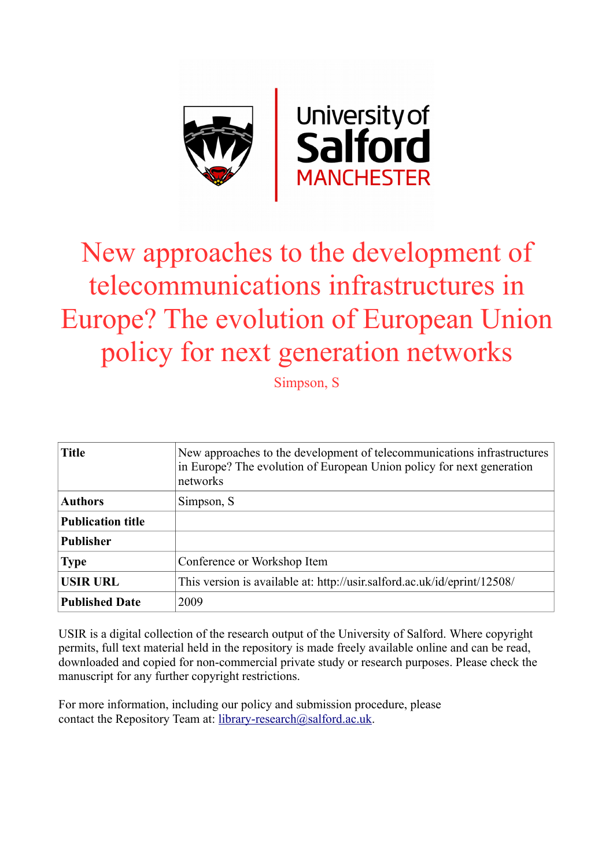

# New approaches to the development of telecommunications infrastructures in Europe? The evolution of European Union policy for next generation networks

Simpson, S

| <b>Title</b>             | New approaches to the development of telecommunications infrastructures<br>in Europe? The evolution of European Union policy for next generation<br>networks |
|--------------------------|--------------------------------------------------------------------------------------------------------------------------------------------------------------|
| <b>Authors</b>           | Simpson, S                                                                                                                                                   |
| <b>Publication title</b> |                                                                                                                                                              |
| <b>Publisher</b>         |                                                                                                                                                              |
| <b>Type</b>              | Conference or Workshop Item                                                                                                                                  |
| <b>USIR URL</b>          | This version is available at: http://usir.salford.ac.uk/id/eprint/12508/                                                                                     |
| <b>Published Date</b>    | 2009                                                                                                                                                         |

USIR is a digital collection of the research output of the University of Salford. Where copyright permits, full text material held in the repository is made freely available online and can be read, downloaded and copied for non-commercial private study or research purposes. Please check the manuscript for any further copyright restrictions.

For more information, including our policy and submission procedure, please contact the Repository Team at: [library-research@salford.ac.uk.](mailto:library-research@salford.ac.uk)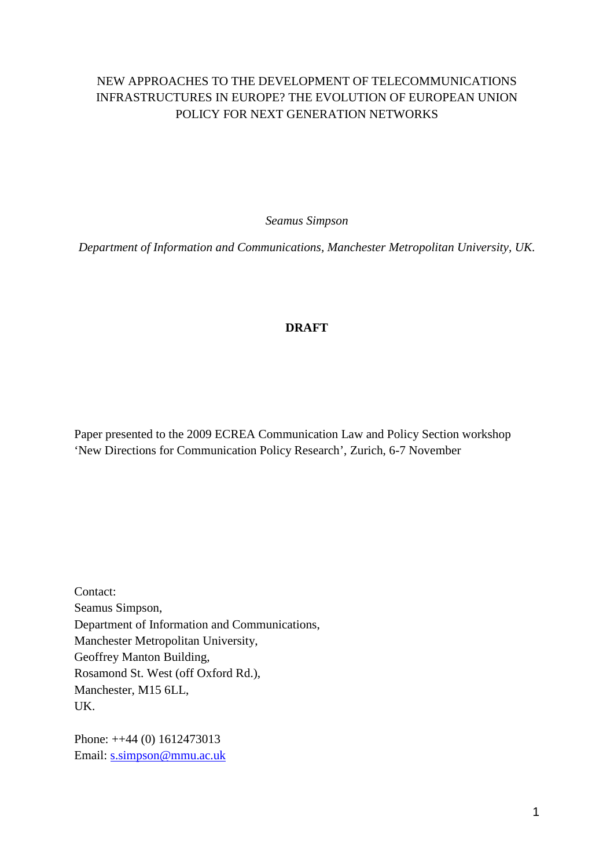# NEW APPROACHES TO THE DEVELOPMENT OF TELECOMMUNICATIONS INFRASTRUCTURES IN EUROPE? THE EVOLUTION OF EUROPEAN UNION POLICY FOR NEXT GENERATION NETWORKS

*Seamus Simpson*

*Department of Information and Communications, Manchester Metropolitan University, UK.* 

### **DRAFT**

Paper presented to the 2009 ECREA Communication Law and Policy Section workshop 'New Directions for Communication Policy Research', Zurich, 6-7 November

Contact: Seamus Simpson, Department of Information and Communications, Manchester Metropolitan University, Geoffrey Manton Building, Rosamond St. West (off Oxford Rd.), Manchester, M15 6LL, UK.

Phone: ++44 (0) 1612473013 Email: [s.simpson@mmu.ac.uk](mailto:s.simpson@mmu.ac.uk)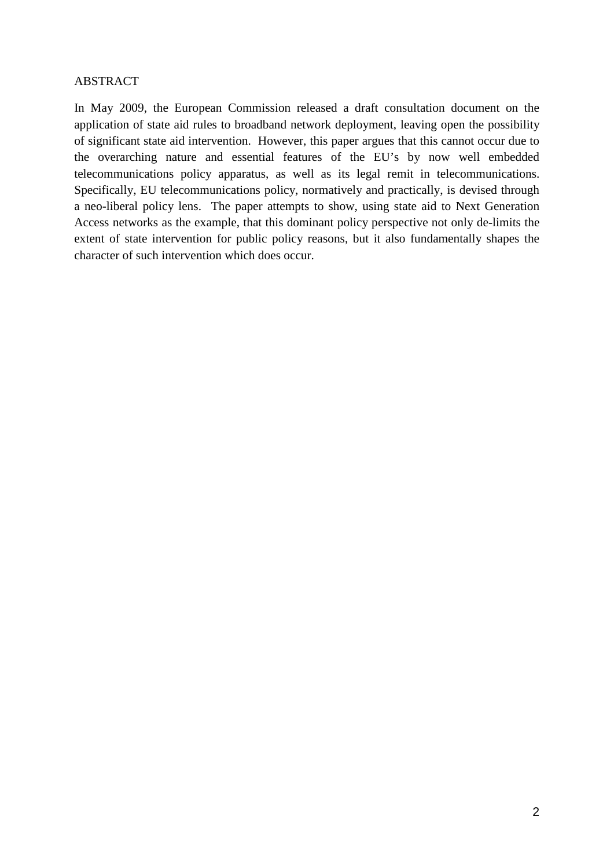#### ABSTRACT

In May 2009, the European Commission released a draft consultation document on the application of state aid rules to broadband network deployment, leaving open the possibility of significant state aid intervention. However, this paper argues that this cannot occur due to the overarching nature and essential features of the EU's by now well embedded telecommunications policy apparatus, as well as its legal remit in telecommunications. Specifically, EU telecommunications policy, normatively and practically, is devised through a neo-liberal policy lens. The paper attempts to show, using state aid to Next Generation Access networks as the example, that this dominant policy perspective not only de-limits the extent of state intervention for public policy reasons, but it also fundamentally shapes the character of such intervention which does occur.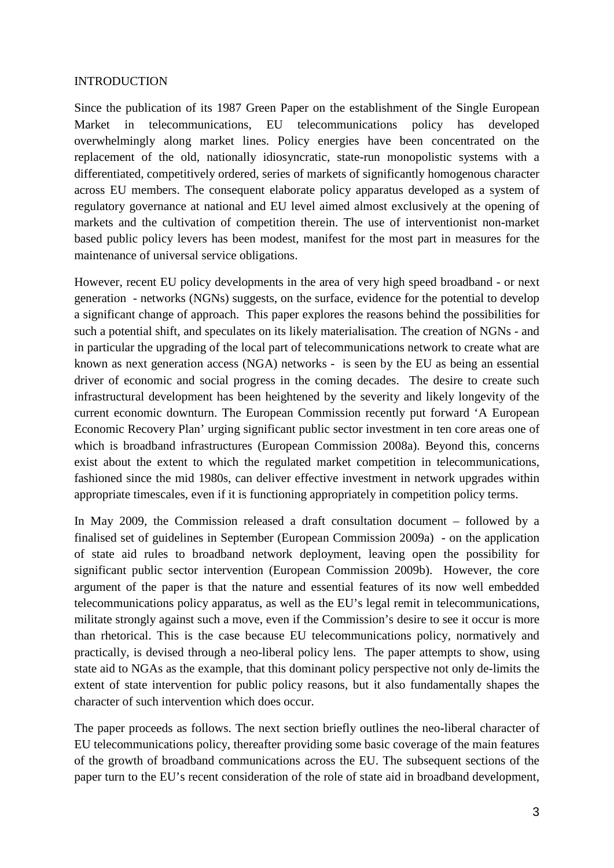#### INTRODUCTION

Since the publication of its 1987 Green Paper on the establishment of the Single European Market in telecommunications, EU telecommunications policy has developed overwhelmingly along market lines. Policy energies have been concentrated on the replacement of the old, nationally idiosyncratic, state-run monopolistic systems with a differentiated, competitively ordered, series of markets of significantly homogenous character across EU members. The consequent elaborate policy apparatus developed as a system of regulatory governance at national and EU level aimed almost exclusively at the opening of markets and the cultivation of competition therein. The use of interventionist non-market based public policy levers has been modest, manifest for the most part in measures for the maintenance of universal service obligations.

However, recent EU policy developments in the area of very high speed broadband - or next generation - networks (NGNs) suggests, on the surface, evidence for the potential to develop a significant change of approach. This paper explores the reasons behind the possibilities for such a potential shift, and speculates on its likely materialisation. The creation of NGNs - and in particular the upgrading of the local part of telecommunications network to create what are known as next generation access (NGA) networks - is seen by the EU as being an essential driver of economic and social progress in the coming decades. The desire to create such infrastructural development has been heightened by the severity and likely longevity of the current economic downturn. The European Commission recently put forward 'A European Economic Recovery Plan' urging significant public sector investment in ten core areas one of which is broadband infrastructures (European Commission 2008a). Beyond this, concerns exist about the extent to which the regulated market competition in telecommunications, fashioned since the mid 1980s, can deliver effective investment in network upgrades within appropriate timescales, even if it is functioning appropriately in competition policy terms.

In May 2009, the Commission released a draft consultation document – followed by a finalised set of guidelines in September (European Commission 2009a) - on the application of state aid rules to broadband network deployment, leaving open the possibility for significant public sector intervention (European Commission 2009b). However, the core argument of the paper is that the nature and essential features of its now well embedded telecommunications policy apparatus, as well as the EU's legal remit in telecommunications, militate strongly against such a move, even if the Commission's desire to see it occur is more than rhetorical. This is the case because EU telecommunications policy, normatively and practically, is devised through a neo-liberal policy lens. The paper attempts to show, using state aid to NGAs as the example, that this dominant policy perspective not only de-limits the extent of state intervention for public policy reasons, but it also fundamentally shapes the character of such intervention which does occur.

The paper proceeds as follows. The next section briefly outlines the neo-liberal character of EU telecommunications policy, thereafter providing some basic coverage of the main features of the growth of broadband communications across the EU. The subsequent sections of the paper turn to the EU's recent consideration of the role of state aid in broadband development,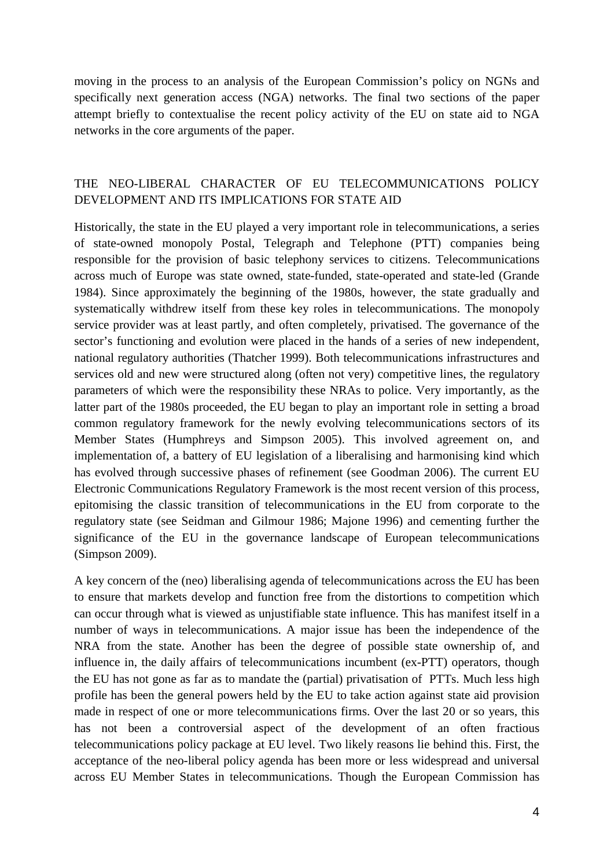moving in the process to an analysis of the European Commission's policy on NGNs and specifically next generation access (NGA) networks. The final two sections of the paper attempt briefly to contextualise the recent policy activity of the EU on state aid to NGA networks in the core arguments of the paper.

## THE NEO-LIBERAL CHARACTER OF EU TELECOMMUNICATIONS POLICY DEVELOPMENT AND ITS IMPLICATIONS FOR STATE AID

Historically, the state in the EU played a very important role in telecommunications, a series of state-owned monopoly Postal, Telegraph and Telephone (PTT) companies being responsible for the provision of basic telephony services to citizens. Telecommunications across much of Europe was state owned, state-funded, state-operated and state-led (Grande 1984). Since approximately the beginning of the 1980s, however, the state gradually and systematically withdrew itself from these key roles in telecommunications. The monopoly service provider was at least partly, and often completely, privatised. The governance of the sector's functioning and evolution were placed in the hands of a series of new independent, national regulatory authorities (Thatcher 1999). Both telecommunications infrastructures and services old and new were structured along (often not very) competitive lines, the regulatory parameters of which were the responsibility these NRAs to police. Very importantly, as the latter part of the 1980s proceeded, the EU began to play an important role in setting a broad common regulatory framework for the newly evolving telecommunications sectors of its Member States (Humphreys and Simpson 2005). This involved agreement on, and implementation of, a battery of EU legislation of a liberalising and harmonising kind which has evolved through successive phases of refinement (see Goodman 2006). The current EU Electronic Communications Regulatory Framework is the most recent version of this process, epitomising the classic transition of telecommunications in the EU from corporate to the regulatory state (see Seidman and Gilmour 1986; Majone 1996) and cementing further the significance of the EU in the governance landscape of European telecommunications (Simpson 2009).

A key concern of the (neo) liberalising agenda of telecommunications across the EU has been to ensure that markets develop and function free from the distortions to competition which can occur through what is viewed as unjustifiable state influence. This has manifest itself in a number of ways in telecommunications. A major issue has been the independence of the NRA from the state. Another has been the degree of possible state ownership of, and influence in, the daily affairs of telecommunications incumbent (ex-PTT) operators, though the EU has not gone as far as to mandate the (partial) privatisation of PTTs. Much less high profile has been the general powers held by the EU to take action against state aid provision made in respect of one or more telecommunications firms. Over the last 20 or so years, this has not been a controversial aspect of the development of an often fractious telecommunications policy package at EU level. Two likely reasons lie behind this. First, the acceptance of the neo-liberal policy agenda has been more or less widespread and universal across EU Member States in telecommunications. Though the European Commission has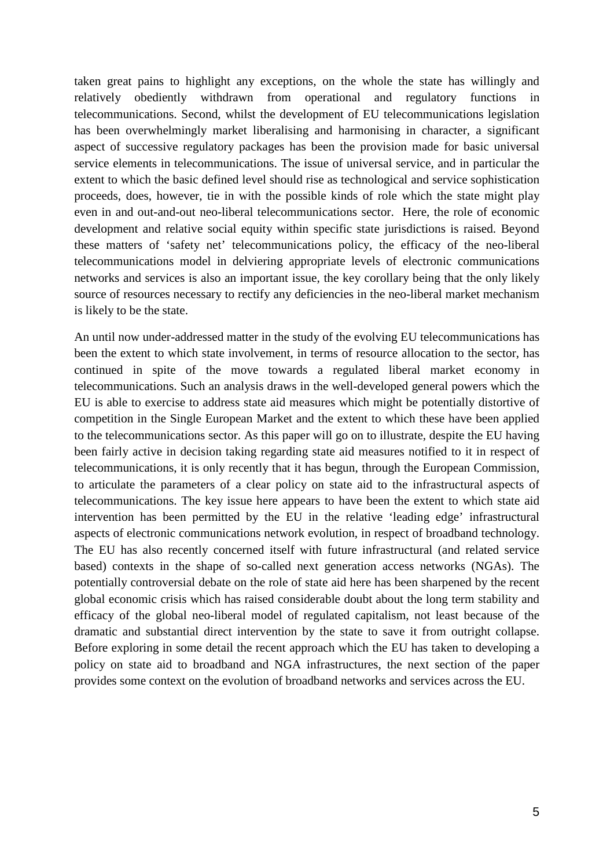taken great pains to highlight any exceptions, on the whole the state has willingly and relatively obediently withdrawn from operational and regulatory functions in telecommunications. Second, whilst the development of EU telecommunications legislation has been overwhelmingly market liberalising and harmonising in character, a significant aspect of successive regulatory packages has been the provision made for basic universal service elements in telecommunications. The issue of universal service, and in particular the extent to which the basic defined level should rise as technological and service sophistication proceeds, does, however, tie in with the possible kinds of role which the state might play even in and out-and-out neo-liberal telecommunications sector. Here, the role of economic development and relative social equity within specific state jurisdictions is raised. Beyond these matters of 'safety net' telecommunications policy, the efficacy of the neo-liberal telecommunications model in delviering appropriate levels of electronic communications networks and services is also an important issue, the key corollary being that the only likely source of resources necessary to rectify any deficiencies in the neo-liberal market mechanism is likely to be the state.

An until now under-addressed matter in the study of the evolving EU telecommunications has been the extent to which state involvement, in terms of resource allocation to the sector, has continued in spite of the move towards a regulated liberal market economy in telecommunications. Such an analysis draws in the well-developed general powers which the EU is able to exercise to address state aid measures which might be potentially distortive of competition in the Single European Market and the extent to which these have been applied to the telecommunications sector. As this paper will go on to illustrate, despite the EU having been fairly active in decision taking regarding state aid measures notified to it in respect of telecommunications, it is only recently that it has begun, through the European Commission, to articulate the parameters of a clear policy on state aid to the infrastructural aspects of telecommunications. The key issue here appears to have been the extent to which state aid intervention has been permitted by the EU in the relative 'leading edge' infrastructural aspects of electronic communications network evolution, in respect of broadband technology. The EU has also recently concerned itself with future infrastructural (and related service based) contexts in the shape of so-called next generation access networks (NGAs). The potentially controversial debate on the role of state aid here has been sharpened by the recent global economic crisis which has raised considerable doubt about the long term stability and efficacy of the global neo-liberal model of regulated capitalism, not least because of the dramatic and substantial direct intervention by the state to save it from outright collapse. Before exploring in some detail the recent approach which the EU has taken to developing a policy on state aid to broadband and NGA infrastructures, the next section of the paper provides some context on the evolution of broadband networks and services across the EU.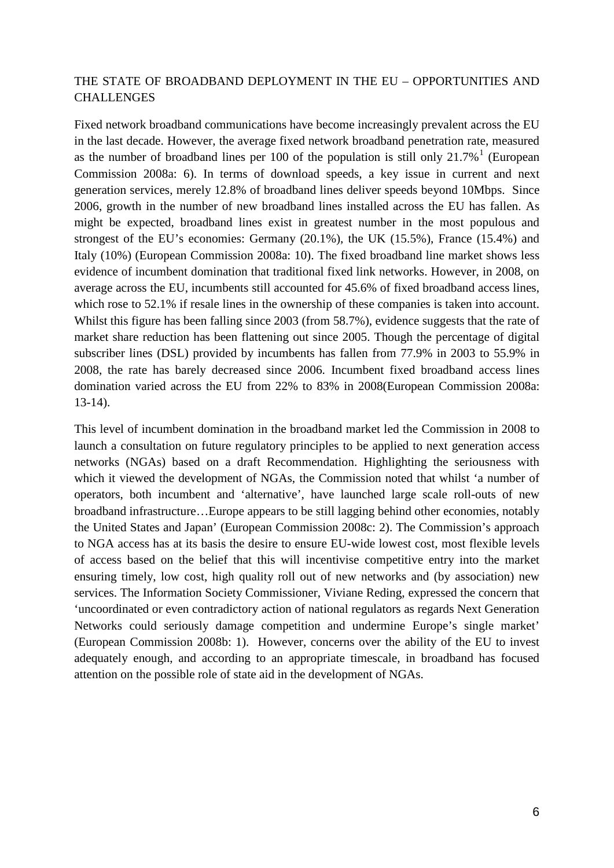### THE STATE OF BROADBAND DEPLOYMENT IN THE EU – OPPORTUNITIES AND CHALLENGES

Fixed network broadband communications have become increasingly prevalent across the EU in the last decade. However, the average fixed network broadband penetration rate, measured as the number of broadband lines per [1](#page-16-0)00 of the population is still only  $21.7\%$ <sup>1</sup> (European Commission 2008a: 6). In terms of download speeds, a key issue in current and next generation services, merely 12.8% of broadband lines deliver speeds beyond 10Mbps. Since 2006, growth in the number of new broadband lines installed across the EU has fallen. As might be expected, broadband lines exist in greatest number in the most populous and strongest of the EU's economies: Germany (20.1%), the UK (15.5%), France (15.4%) and Italy (10%) (European Commission 2008a: 10). The fixed broadband line market shows less evidence of incumbent domination that traditional fixed link networks. However, in 2008, on average across the EU, incumbents still accounted for 45.6% of fixed broadband access lines, which rose to 52.1% if resale lines in the ownership of these companies is taken into account. Whilst this figure has been falling since 2003 (from 58.7%), evidence suggests that the rate of market share reduction has been flattening out since 2005. Though the percentage of digital subscriber lines (DSL) provided by incumbents has fallen from 77.9% in 2003 to 55.9% in 2008, the rate has barely decreased since 2006. Incumbent fixed broadband access lines domination varied across the EU from 22% to 83% in 2008(European Commission 2008a: 13-14).

This level of incumbent domination in the broadband market led the Commission in 2008 to launch a consultation on future regulatory principles to be applied to next generation access networks (NGAs) based on a draft Recommendation. Highlighting the seriousness with which it viewed the development of NGAs, the Commission noted that whilst 'a number of operators, both incumbent and 'alternative', have launched large scale roll-outs of new broadband infrastructure…Europe appears to be still lagging behind other economies, notably the United States and Japan' (European Commission 2008c: 2). The Commission's approach to NGA access has at its basis the desire to ensure EU-wide lowest cost, most flexible levels of access based on the belief that this will incentivise competitive entry into the market ensuring timely, low cost, high quality roll out of new networks and (by association) new services. The Information Society Commissioner, Viviane Reding, expressed the concern that 'uncoordinated or even contradictory action of national regulators as regards Next Generation Networks could seriously damage competition and undermine Europe's single market' (European Commission 2008b: 1). However, concerns over the ability of the EU to invest adequately enough, and according to an appropriate timescale, in broadband has focused attention on the possible role of state aid in the development of NGAs.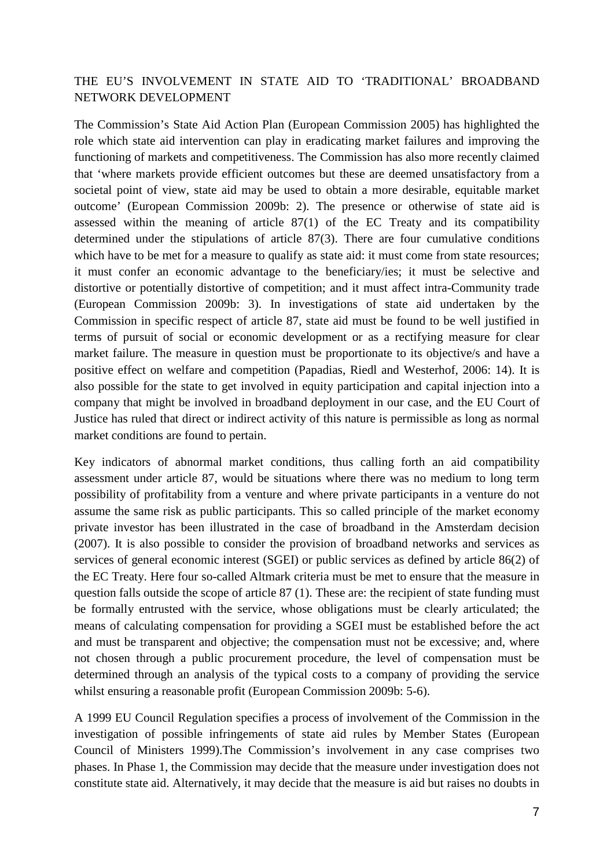## THE EU'S INVOLVEMENT IN STATE AID TO 'TRADITIONAL' BROADBAND NETWORK DEVELOPMENT

The Commission's State Aid Action Plan (European Commission 2005) has highlighted the role which state aid intervention can play in eradicating market failures and improving the functioning of markets and competitiveness. The Commission has also more recently claimed that 'where markets provide efficient outcomes but these are deemed unsatisfactory from a societal point of view, state aid may be used to obtain a more desirable, equitable market outcome' (European Commission 2009b: 2). The presence or otherwise of state aid is assessed within the meaning of article 87(1) of the EC Treaty and its compatibility determined under the stipulations of article 87(3). There are four cumulative conditions which have to be met for a measure to qualify as state aid: it must come from state resources; it must confer an economic advantage to the beneficiary/ies; it must be selective and distortive or potentially distortive of competition; and it must affect intra-Community trade (European Commission 2009b: 3). In investigations of state aid undertaken by the Commission in specific respect of article 87, state aid must be found to be well justified in terms of pursuit of social or economic development or as a rectifying measure for clear market failure. The measure in question must be proportionate to its objective/s and have a positive effect on welfare and competition (Papadias, Riedl and Westerhof, 2006: 14). It is also possible for the state to get involved in equity participation and capital injection into a company that might be involved in broadband deployment in our case, and the EU Court of Justice has ruled that direct or indirect activity of this nature is permissible as long as normal market conditions are found to pertain.

Key indicators of abnormal market conditions, thus calling forth an aid compatibility assessment under article 87, would be situations where there was no medium to long term possibility of profitability from a venture and where private participants in a venture do not assume the same risk as public participants. This so called principle of the market economy private investor has been illustrated in the case of broadband in the Amsterdam decision (2007). It is also possible to consider the provision of broadband networks and services as services of general economic interest (SGEI) or public services as defined by article 86(2) of the EC Treaty. Here four so-called Altmark criteria must be met to ensure that the measure in question falls outside the scope of article  $87$  (1). These are: the recipient of state funding must be formally entrusted with the service, whose obligations must be clearly articulated; the means of calculating compensation for providing a SGEI must be established before the act and must be transparent and objective; the compensation must not be excessive; and, where not chosen through a public procurement procedure, the level of compensation must be determined through an analysis of the typical costs to a company of providing the service whilst ensuring a reasonable profit (European Commission 2009b: 5-6).

A 1999 EU Council Regulation specifies a process of involvement of the Commission in the investigation of possible infringements of state aid rules by Member States (European Council of Ministers 1999).The Commission's involvement in any case comprises two phases. In Phase 1, the Commission may decide that the measure under investigation does not constitute state aid. Alternatively, it may decide that the measure is aid but raises no doubts in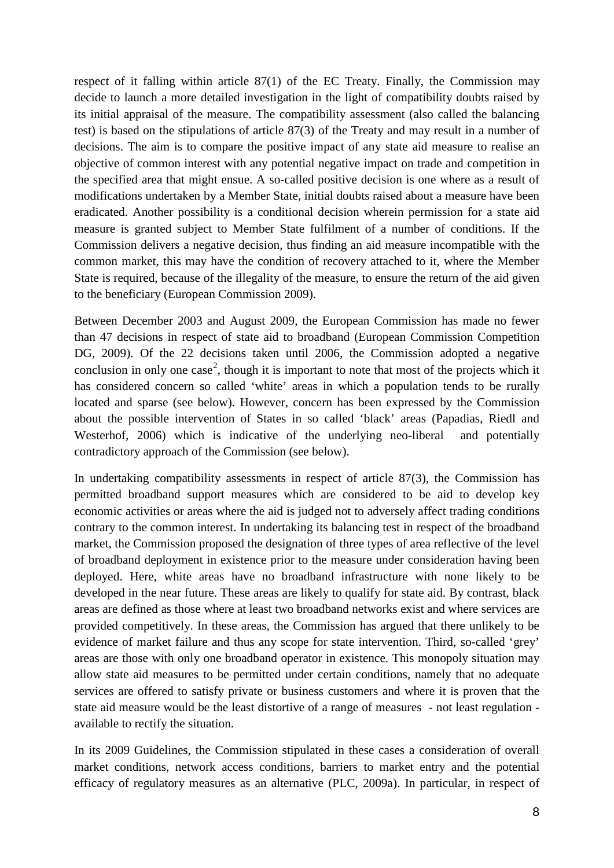respect of it falling within article 87(1) of the EC Treaty. Finally, the Commission may decide to launch a more detailed investigation in the light of compatibility doubts raised by its initial appraisal of the measure. The compatibility assessment (also called the balancing test) is based on the stipulations of article 87(3) of the Treaty and may result in a number of decisions. The aim is to compare the positive impact of any state aid measure to realise an objective of common interest with any potential negative impact on trade and competition in the specified area that might ensue. A so-called positive decision is one where as a result of modifications undertaken by a Member State, initial doubts raised about a measure have been eradicated. Another possibility is a conditional decision wherein permission for a state aid measure is granted subject to Member State fulfilment of a number of conditions. If the Commission delivers a negative decision, thus finding an aid measure incompatible with the common market, this may have the condition of recovery attached to it, where the Member State is required, because of the illegality of the measure, to ensure the return of the aid given to the beneficiary (European Commission 2009).

Between December 2003 and August 2009, the European Commission has made no fewer than 47 decisions in respect of state aid to broadband (European Commission Competition DG, 2009). Of the 22 decisions taken until 2006, the Commission adopted a negative conclusion in only one case<sup>[2](#page-16-1)</sup>, though it is important to note that most of the projects which it has considered concern so called 'white' areas in which a population tends to be rurally located and sparse (see below). However, concern has been expressed by the Commission about the possible intervention of States in so called 'black' areas (Papadias, Riedl and Westerhof, 2006) which is indicative of the underlying neo-liberal and potentially contradictory approach of the Commission (see below).

In undertaking compatibility assessments in respect of article 87(3), the Commission has permitted broadband support measures which are considered to be aid to develop key economic activities or areas where the aid is judged not to adversely affect trading conditions contrary to the common interest. In undertaking its balancing test in respect of the broadband market, the Commission proposed the designation of three types of area reflective of the level of broadband deployment in existence prior to the measure under consideration having been deployed. Here, white areas have no broadband infrastructure with none likely to be developed in the near future. These areas are likely to qualify for state aid. By contrast, black areas are defined as those where at least two broadband networks exist and where services are provided competitively. In these areas, the Commission has argued that there unlikely to be evidence of market failure and thus any scope for state intervention. Third, so-called 'grey' areas are those with only one broadband operator in existence. This monopoly situation may allow state aid measures to be permitted under certain conditions, namely that no adequate services are offered to satisfy private or business customers and where it is proven that the state aid measure would be the least distortive of a range of measures - not least regulation available to rectify the situation.

In its 2009 Guidelines, the Commission stipulated in these cases a consideration of overall market conditions, network access conditions, barriers to market entry and the potential efficacy of regulatory measures as an alternative (PLC, 2009a). In particular, in respect of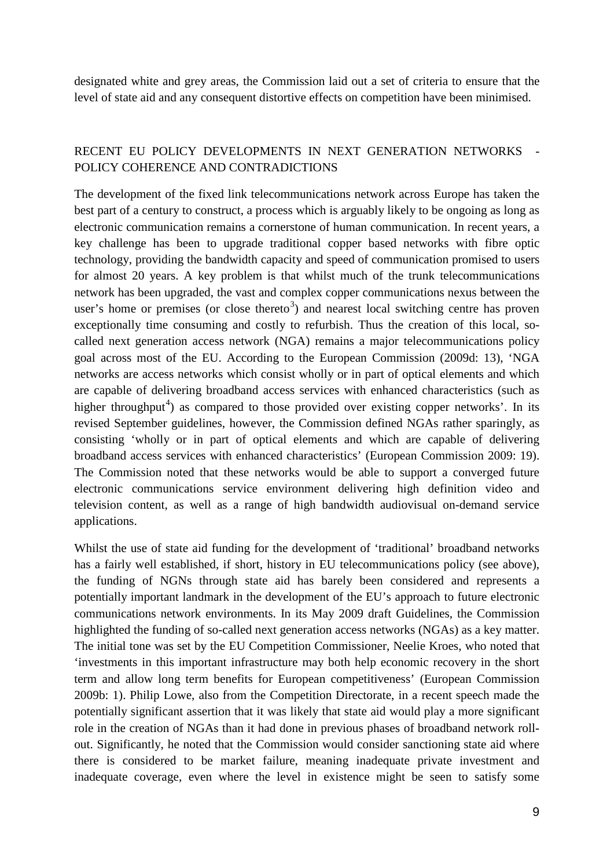designated white and grey areas, the Commission laid out a set of criteria to ensure that the level of state aid and any consequent distortive effects on competition have been minimised.

#### RECENT EU POLICY DEVELOPMENTS IN NEXT GENERATION NETWORKS POLICY COHERENCE AND CONTRADICTIONS

The development of the fixed link telecommunications network across Europe has taken the best part of a century to construct, a process which is arguably likely to be ongoing as long as electronic communication remains a cornerstone of human communication. In recent years, a key challenge has been to upgrade traditional copper based networks with fibre optic technology, providing the bandwidth capacity and speed of communication promised to users for almost 20 years. A key problem is that whilst much of the trunk telecommunications network has been upgraded, the vast and complex copper communications nexus between the user's home or premises (or close thereto<sup>[3](#page-16-2)</sup>) and nearest local switching centre has proven exceptionally time consuming and costly to refurbish. Thus the creation of this local, socalled next generation access network (NGA) remains a major telecommunications policy goal across most of the EU. According to the European Commission (2009d: 13), 'NGA networks are access networks which consist wholly or in part of optical elements and which are capable of delivering broadband access services with enhanced characteristics (such as higher throughput<sup>[4](#page-16-3)</sup>) as compared to those provided over existing copper networks'. In its revised September guidelines, however, the Commission defined NGAs rather sparingly, as consisting 'wholly or in part of optical elements and which are capable of delivering broadband access services with enhanced characteristics' (European Commission 2009: 19). The Commission noted that these networks would be able to support a converged future electronic communications service environment delivering high definition video and television content, as well as a range of high bandwidth audiovisual on-demand service applications.

Whilst the use of state aid funding for the development of 'traditional' broadband networks has a fairly well established, if short, history in EU telecommunications policy (see above), the funding of NGNs through state aid has barely been considered and represents a potentially important landmark in the development of the EU's approach to future electronic communications network environments. In its May 2009 draft Guidelines, the Commission highlighted the funding of so-called next generation access networks (NGAs) as a key matter. The initial tone was set by the EU Competition Commissioner, Neelie Kroes, who noted that 'investments in this important infrastructure may both help economic recovery in the short term and allow long term benefits for European competitiveness' (European Commission 2009b: 1). Philip Lowe, also from the Competition Directorate, in a recent speech made the potentially significant assertion that it was likely that state aid would play a more significant role in the creation of NGAs than it had done in previous phases of broadband network rollout. Significantly, he noted that the Commission would consider sanctioning state aid where there is considered to be market failure, meaning inadequate private investment and inadequate coverage, even where the level in existence might be seen to satisfy some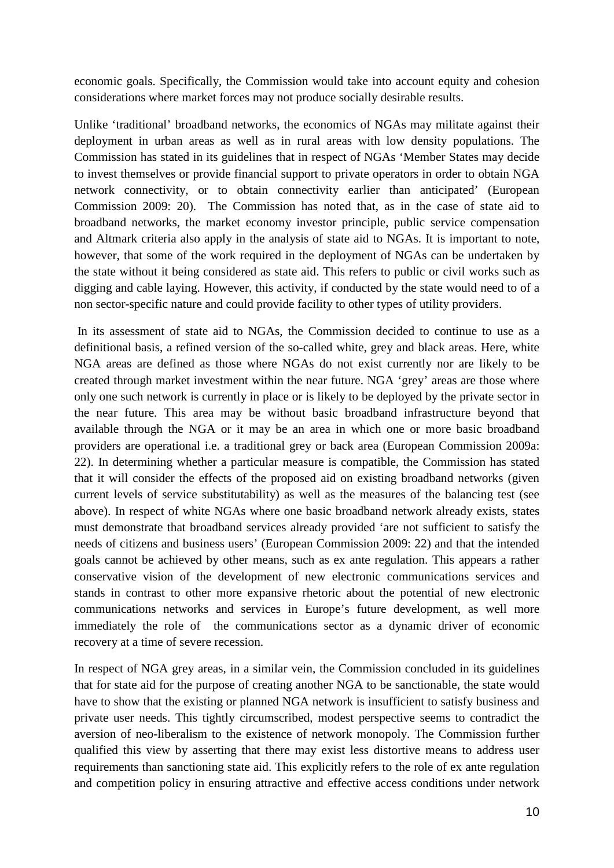economic goals. Specifically, the Commission would take into account equity and cohesion considerations where market forces may not produce socially desirable results.

Unlike 'traditional' broadband networks, the economics of NGAs may militate against their deployment in urban areas as well as in rural areas with low density populations. The Commission has stated in its guidelines that in respect of NGAs 'Member States may decide to invest themselves or provide financial support to private operators in order to obtain NGA network connectivity, or to obtain connectivity earlier than anticipated' (European Commission 2009: 20). The Commission has noted that, as in the case of state aid to broadband networks, the market economy investor principle, public service compensation and Altmark criteria also apply in the analysis of state aid to NGAs. It is important to note, however, that some of the work required in the deployment of NGAs can be undertaken by the state without it being considered as state aid. This refers to public or civil works such as digging and cable laying. However, this activity, if conducted by the state would need to of a non sector-specific nature and could provide facility to other types of utility providers.

In its assessment of state aid to NGAs, the Commission decided to continue to use as a definitional basis, a refined version of the so-called white, grey and black areas. Here, white NGA areas are defined as those where NGAs do not exist currently nor are likely to be created through market investment within the near future. NGA 'grey' areas are those where only one such network is currently in place or is likely to be deployed by the private sector in the near future. This area may be without basic broadband infrastructure beyond that available through the NGA or it may be an area in which one or more basic broadband providers are operational i.e. a traditional grey or back area (European Commission 2009a: 22). In determining whether a particular measure is compatible, the Commission has stated that it will consider the effects of the proposed aid on existing broadband networks (given current levels of service substitutability) as well as the measures of the balancing test (see above). In respect of white NGAs where one basic broadband network already exists, states must demonstrate that broadband services already provided 'are not sufficient to satisfy the needs of citizens and business users' (European Commission 2009: 22) and that the intended goals cannot be achieved by other means, such as ex ante regulation. This appears a rather conservative vision of the development of new electronic communications services and stands in contrast to other more expansive rhetoric about the potential of new electronic communications networks and services in Europe's future development, as well more immediately the role of the communications sector as a dynamic driver of economic recovery at a time of severe recession.

In respect of NGA grey areas, in a similar vein, the Commission concluded in its guidelines that for state aid for the purpose of creating another NGA to be sanctionable, the state would have to show that the existing or planned NGA network is insufficient to satisfy business and private user needs. This tightly circumscribed, modest perspective seems to contradict the aversion of neo-liberalism to the existence of network monopoly. The Commission further qualified this view by asserting that there may exist less distortive means to address user requirements than sanctioning state aid. This explicitly refers to the role of ex ante regulation and competition policy in ensuring attractive and effective access conditions under network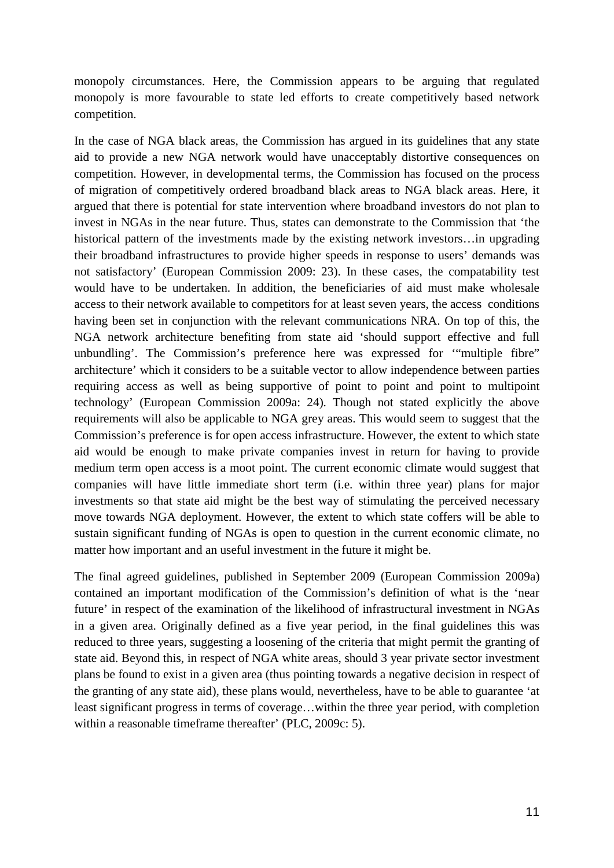monopoly circumstances. Here, the Commission appears to be arguing that regulated monopoly is more favourable to state led efforts to create competitively based network competition.

In the case of NGA black areas, the Commission has argued in its guidelines that any state aid to provide a new NGA network would have unacceptably distortive consequences on competition. However, in developmental terms, the Commission has focused on the process of migration of competitively ordered broadband black areas to NGA black areas. Here, it argued that there is potential for state intervention where broadband investors do not plan to invest in NGAs in the near future. Thus, states can demonstrate to the Commission that 'the historical pattern of the investments made by the existing network investors...in upgrading their broadband infrastructures to provide higher speeds in response to users' demands was not satisfactory' (European Commission 2009: 23). In these cases, the compatability test would have to be undertaken. In addition, the beneficiaries of aid must make wholesale access to their network available to competitors for at least seven years, the access conditions having been set in conjunction with the relevant communications NRA. On top of this, the NGA network architecture benefiting from state aid 'should support effective and full unbundling'. The Commission's preference here was expressed for '"multiple fibre" architecture' which it considers to be a suitable vector to allow independence between parties requiring access as well as being supportive of point to point and point to multipoint technology' (European Commission 2009a: 24). Though not stated explicitly the above requirements will also be applicable to NGA grey areas. This would seem to suggest that the Commission's preference is for open access infrastructure. However, the extent to which state aid would be enough to make private companies invest in return for having to provide medium term open access is a moot point. The current economic climate would suggest that companies will have little immediate short term (i.e. within three year) plans for major investments so that state aid might be the best way of stimulating the perceived necessary move towards NGA deployment. However, the extent to which state coffers will be able to sustain significant funding of NGAs is open to question in the current economic climate, no matter how important and an useful investment in the future it might be.

The final agreed guidelines, published in September 2009 (European Commission 2009a) contained an important modification of the Commission's definition of what is the 'near future' in respect of the examination of the likelihood of infrastructural investment in NGAs in a given area. Originally defined as a five year period, in the final guidelines this was reduced to three years, suggesting a loosening of the criteria that might permit the granting of state aid. Beyond this, in respect of NGA white areas, should 3 year private sector investment plans be found to exist in a given area (thus pointing towards a negative decision in respect of the granting of any state aid), these plans would, nevertheless, have to be able to guarantee 'at least significant progress in terms of coverage…within the three year period, with completion within a reasonable timeframe thereafter' (PLC, 2009c: 5).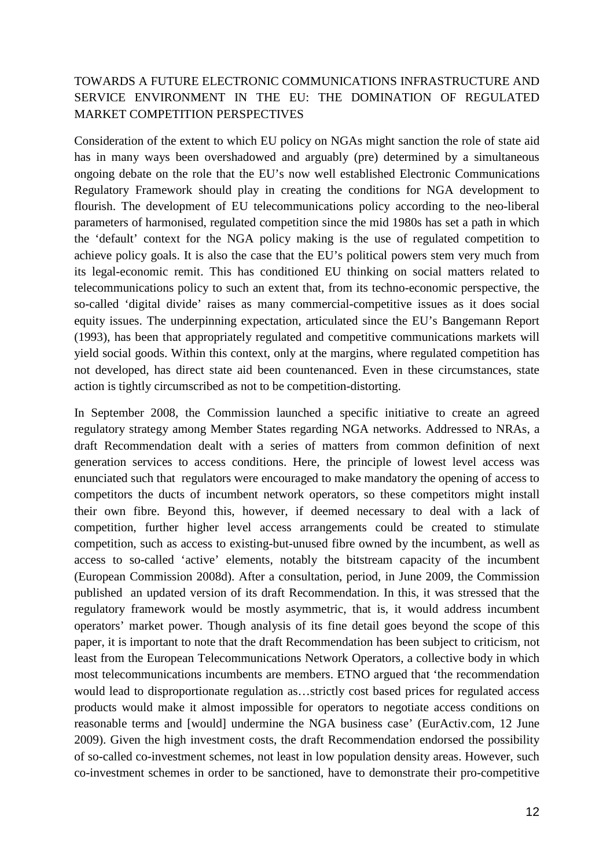## TOWARDS A FUTURE ELECTRONIC COMMUNICATIONS INFRASTRUCTURE AND SERVICE ENVIRONMENT IN THE EU: THE DOMINATION OF REGULATED MARKET COMPETITION PERSPECTIVES

Consideration of the extent to which EU policy on NGAs might sanction the role of state aid has in many ways been overshadowed and arguably (pre) determined by a simultaneous ongoing debate on the role that the EU's now well established Electronic Communications Regulatory Framework should play in creating the conditions for NGA development to flourish. The development of EU telecommunications policy according to the neo-liberal parameters of harmonised, regulated competition since the mid 1980s has set a path in which the 'default' context for the NGA policy making is the use of regulated competition to achieve policy goals. It is also the case that the EU's political powers stem very much from its legal-economic remit. This has conditioned EU thinking on social matters related to telecommunications policy to such an extent that, from its techno-economic perspective, the so-called 'digital divide' raises as many commercial-competitive issues as it does social equity issues. The underpinning expectation, articulated since the EU's Bangemann Report (1993), has been that appropriately regulated and competitive communications markets will yield social goods. Within this context, only at the margins, where regulated competition has not developed, has direct state aid been countenanced. Even in these circumstances, state action is tightly circumscribed as not to be competition-distorting.

In September 2008, the Commission launched a specific initiative to create an agreed regulatory strategy among Member States regarding NGA networks. Addressed to NRAs, a draft Recommendation dealt with a series of matters from common definition of next generation services to access conditions. Here, the principle of lowest level access was enunciated such that regulators were encouraged to make mandatory the opening of access to competitors the ducts of incumbent network operators, so these competitors might install their own fibre. Beyond this, however, if deemed necessary to deal with a lack of competition, further higher level access arrangements could be created to stimulate competition, such as access to existing-but-unused fibre owned by the incumbent, as well as access to so-called 'active' elements, notably the bitstream capacity of the incumbent (European Commission 2008d). After a consultation, period, in June 2009, the Commission published an updated version of its draft Recommendation. In this, it was stressed that the regulatory framework would be mostly asymmetric, that is, it would address incumbent operators' market power. Though analysis of its fine detail goes beyond the scope of this paper, it is important to note that the draft Recommendation has been subject to criticism, not least from the European Telecommunications Network Operators, a collective body in which most telecommunications incumbents are members. ETNO argued that 'the recommendation would lead to disproportionate regulation as…strictly cost based prices for regulated access products would make it almost impossible for operators to negotiate access conditions on reasonable terms and [would] undermine the NGA business case' (EurActiv.com, 12 June 2009). Given the high investment costs, the draft Recommendation endorsed the possibility of so-called co-investment schemes, not least in low population density areas. However, such co-investment schemes in order to be sanctioned, have to demonstrate their pro-competitive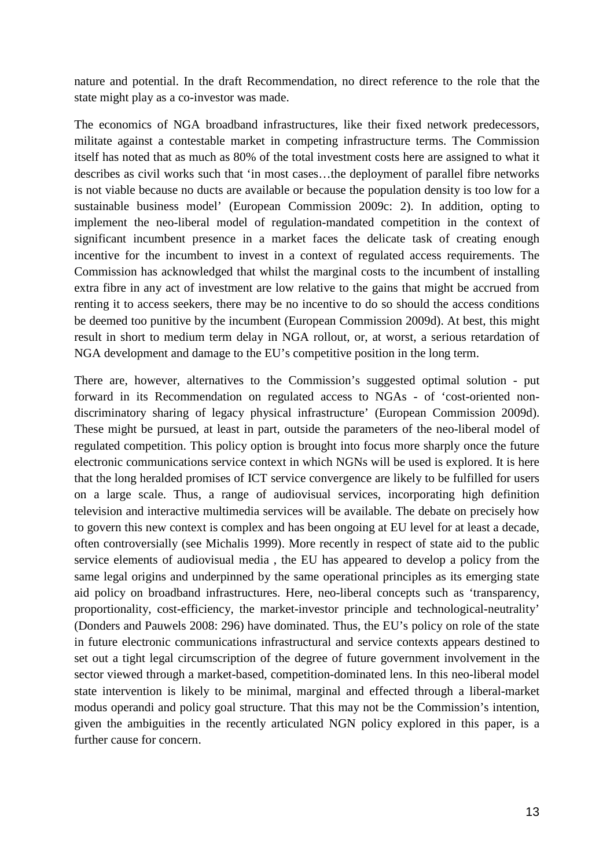nature and potential. In the draft Recommendation, no direct reference to the role that the state might play as a co-investor was made.

The economics of NGA broadband infrastructures, like their fixed network predecessors, militate against a contestable market in competing infrastructure terms. The Commission itself has noted that as much as 80% of the total investment costs here are assigned to what it describes as civil works such that 'in most cases…the deployment of parallel fibre networks is not viable because no ducts are available or because the population density is too low for a sustainable business model' (European Commission 2009c: 2). In addition, opting to implement the neo-liberal model of regulation-mandated competition in the context of significant incumbent presence in a market faces the delicate task of creating enough incentive for the incumbent to invest in a context of regulated access requirements. The Commission has acknowledged that whilst the marginal costs to the incumbent of installing extra fibre in any act of investment are low relative to the gains that might be accrued from renting it to access seekers, there may be no incentive to do so should the access conditions be deemed too punitive by the incumbent (European Commission 2009d). At best, this might result in short to medium term delay in NGA rollout, or, at worst, a serious retardation of NGA development and damage to the EU's competitive position in the long term.

There are, however, alternatives to the Commission's suggested optimal solution - put forward in its Recommendation on regulated access to NGAs - of 'cost-oriented nondiscriminatory sharing of legacy physical infrastructure' (European Commission 2009d). These might be pursued, at least in part, outside the parameters of the neo-liberal model of regulated competition. This policy option is brought into focus more sharply once the future electronic communications service context in which NGNs will be used is explored. It is here that the long heralded promises of ICT service convergence are likely to be fulfilled for users on a large scale. Thus, a range of audiovisual services, incorporating high definition television and interactive multimedia services will be available. The debate on precisely how to govern this new context is complex and has been ongoing at EU level for at least a decade, often controversially (see Michalis 1999). More recently in respect of state aid to the public service elements of audiovisual media , the EU has appeared to develop a policy from the same legal origins and underpinned by the same operational principles as its emerging state aid policy on broadband infrastructures. Here, neo-liberal concepts such as 'transparency, proportionality, cost-efficiency, the market-investor principle and technological-neutrality' (Donders and Pauwels 2008: 296) have dominated. Thus, the EU's policy on role of the state in future electronic communications infrastructural and service contexts appears destined to set out a tight legal circumscription of the degree of future government involvement in the sector viewed through a market-based, competition-dominated lens. In this neo-liberal model state intervention is likely to be minimal, marginal and effected through a liberal-market modus operandi and policy goal structure. That this may not be the Commission's intention, given the ambiguities in the recently articulated NGN policy explored in this paper, is a further cause for concern.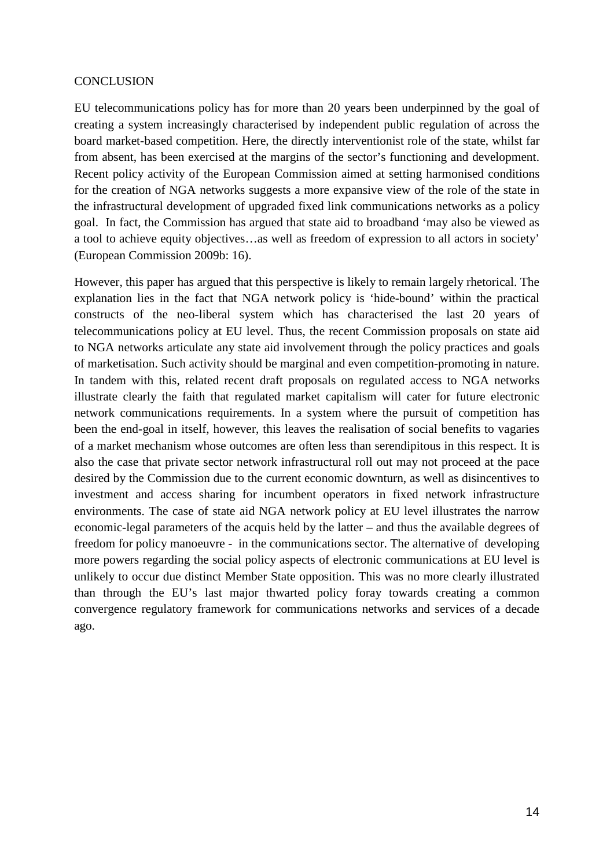#### **CONCLUSION**

EU telecommunications policy has for more than 20 years been underpinned by the goal of creating a system increasingly characterised by independent public regulation of across the board market-based competition. Here, the directly interventionist role of the state, whilst far from absent, has been exercised at the margins of the sector's functioning and development. Recent policy activity of the European Commission aimed at setting harmonised conditions for the creation of NGA networks suggests a more expansive view of the role of the state in the infrastructural development of upgraded fixed link communications networks as a policy goal. In fact, the Commission has argued that state aid to broadband 'may also be viewed as a tool to achieve equity objectives…as well as freedom of expression to all actors in society' (European Commission 2009b: 16).

However, this paper has argued that this perspective is likely to remain largely rhetorical. The explanation lies in the fact that NGA network policy is 'hide-bound' within the practical constructs of the neo-liberal system which has characterised the last 20 years of telecommunications policy at EU level. Thus, the recent Commission proposals on state aid to NGA networks articulate any state aid involvement through the policy practices and goals of marketisation. Such activity should be marginal and even competition-promoting in nature. In tandem with this, related recent draft proposals on regulated access to NGA networks illustrate clearly the faith that regulated market capitalism will cater for future electronic network communications requirements. In a system where the pursuit of competition has been the end-goal in itself, however, this leaves the realisation of social benefits to vagaries of a market mechanism whose outcomes are often less than serendipitous in this respect. It is also the case that private sector network infrastructural roll out may not proceed at the pace desired by the Commission due to the current economic downturn, as well as disincentives to investment and access sharing for incumbent operators in fixed network infrastructure environments. The case of state aid NGA network policy at EU level illustrates the narrow economic-legal parameters of the acquis held by the latter – and thus the available degrees of freedom for policy manoeuvre - in the communications sector. The alternative of developing more powers regarding the social policy aspects of electronic communications at EU level is unlikely to occur due distinct Member State opposition. This was no more clearly illustrated than through the EU's last major thwarted policy foray towards creating a common convergence regulatory framework for communications networks and services of a decade ago.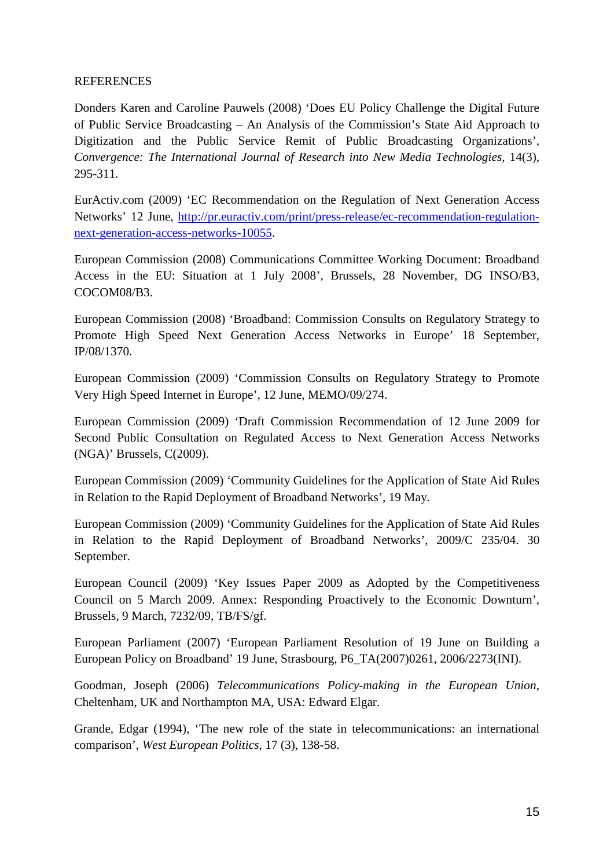#### REFERENCES

Donders Karen and Caroline Pauwels (2008) 'Does EU Policy Challenge the Digital Future of Public Service Broadcasting – An Analysis of the Commission's State Aid Approach to Digitization and the Public Service Remit of Public Broadcasting Organizations', *Convergence: The International Journal of Research into New Media Technologies*, 14(3), 295-311.

EurActiv.com (2009) 'EC Recommendation on the Regulation of Next Generation Access Networks' 12 June, [http://pr.euractiv.com/print/press-release/ec-recommendation-regulation](http://pr.euractiv.com/print/press-release/ec-recommendation-regulation-next-generation-access-networks-10055)[next-generation-access-networks-10055.](http://pr.euractiv.com/print/press-release/ec-recommendation-regulation-next-generation-access-networks-10055)

European Commission (2008) Communications Committee Working Document: Broadband Access in the EU: Situation at 1 July 2008', Brussels, 28 November, DG INSO/B3, COCOM08/B3.

European Commission (2008) 'Broadband: Commission Consults on Regulatory Strategy to Promote High Speed Next Generation Access Networks in Europe' 18 September, IP/08/1370.

European Commission (2009) 'Commission Consults on Regulatory Strategy to Promote Very High Speed Internet in Europe', 12 June, MEMO/09/274.

European Commission (2009) 'Draft Commission Recommendation of 12 June 2009 for Second Public Consultation on Regulated Access to Next Generation Access Networks (NGA)' Brussels, C(2009).

European Commission (2009) 'Community Guidelines for the Application of State Aid Rules in Relation to the Rapid Deployment of Broadband Networks', 19 May.

European Commission (2009) 'Community Guidelines for the Application of State Aid Rules in Relation to the Rapid Deployment of Broadband Networks', 2009/C 235/04. 30 September.

European Council (2009) 'Key Issues Paper 2009 as Adopted by the Competitiveness Council on 5 March 2009. Annex: Responding Proactively to the Economic Downturn', Brussels, 9 March, 7232/09, TB/FS/gf.

European Parliament (2007) 'European Parliament Resolution of 19 June on Building a European Policy on Broadband' 19 June, Strasbourg, P6\_TA(2007)0261, 2006/2273(INI).

Goodman, Joseph (2006) *Telecommunications Policy-making in the European Union*, Cheltenham, UK and Northampton MA, USA: Edward Elgar.

Grande, Edgar (1994), 'The new role of the state in telecommunications: an international comparison', *West European Politics*, 17 (3), 138-58.